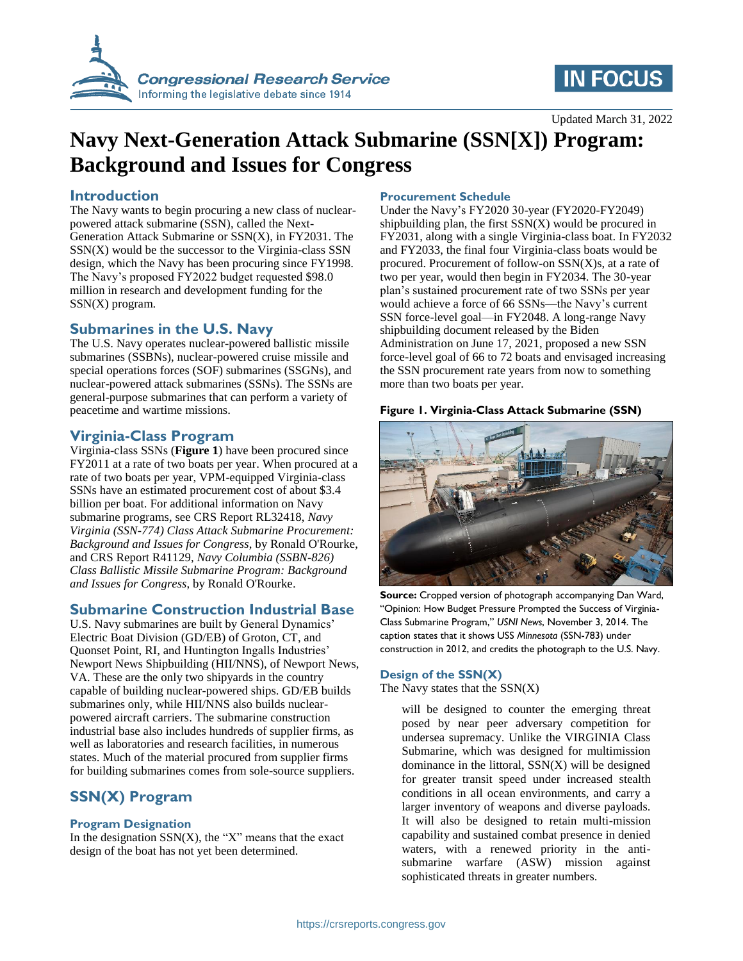

# **IN FOCUS**

Updated March 31, 2022

# **Navy Next-Generation Attack Submarine (SSN[X]) Program: Background and Issues for Congress**

#### **Introduction**

The Navy wants to begin procuring a new class of nuclearpowered attack submarine (SSN), called the Next-Generation Attack Submarine or SSN(X), in FY2031. The  $SSN(X)$  would be the successor to the Virginia-class  $SSN$ design, which the Navy has been procuring since FY1998. The Navy's proposed FY2022 budget requested \$98.0 million in research and development funding for the SSN(X) program.

### **Submarines in the U.S. Navy**

The U.S. Navy operates nuclear-powered ballistic missile submarines (SSBNs), nuclear-powered cruise missile and special operations forces (SOF) submarines (SSGNs), and nuclear-powered attack submarines (SSNs). The SSNs are general-purpose submarines that can perform a variety of peacetime and wartime missions.

#### **Virginia-Class Program**

Virginia-class SSNs (**[Figure 1](#page-0-0)**) have been procured since FY2011 at a rate of two boats per year. When procured at a rate of two boats per year, VPM-equipped Virginia-class SSNs have an estimated procurement cost of about \$3.4 billion per boat. For additional information on Navy submarine programs, see CRS Report RL32418, *Navy Virginia (SSN-774) Class Attack Submarine Procurement: Background and Issues for Congress*, by Ronald O'Rourke, and CRS Report R41129, *Navy Columbia (SSBN-826) Class Ballistic Missile Submarine Program: Background and Issues for Congress*, by Ronald O'Rourke.

#### **Submarine Construction Industrial Base**

U.S. Navy submarines are built by General Dynamics' Electric Boat Division (GD/EB) of Groton, CT, and Quonset Point, RI, and Huntington Ingalls Industries' Newport News Shipbuilding (HII/NNS), of Newport News, VA. These are the only two shipyards in the country capable of building nuclear-powered ships. GD/EB builds submarines only, while HII/NNS also builds nuclearpowered aircraft carriers. The submarine construction industrial base also includes hundreds of supplier firms, as well as laboratories and research facilities, in numerous states. Much of the material procured from supplier firms for building submarines comes from sole-source suppliers.

### **SSN(X) Program**

#### **Program Designation**

In the designation  $SSN(X)$ , the "X" means that the exact design of the boat has not yet been determined.

#### **Procurement Schedule**

Under the Navy's FY2020 30-year (FY2020-FY2049) shipbuilding plan, the first  $SSN(X)$  would be procured in FY2031, along with a single Virginia-class boat. In FY2032 and FY2033, the final four Virginia-class boats would be procured. Procurement of follow-on SSN(X)s, at a rate of two per year, would then begin in FY2034. The 30-year plan's sustained procurement rate of two SSNs per year would achieve a force of 66 SSNs—the Navy's current SSN force-level goal—in FY2048. A long-range Navy shipbuilding document released by the Biden Administration on June 17, 2021, proposed a new SSN force-level goal of 66 to 72 boats and envisaged increasing the SSN procurement rate years from now to something more than two boats per year.

#### <span id="page-0-0"></span>**Figure 1. Virginia-Class Attack Submarine (SSN)**



**Source:** Cropped version of photograph accompanying Dan Ward, "Opinion: How Budget Pressure Prompted the Success of Virginia-Class Submarine Program," *USNI News*, November 3, 2014. The caption states that it shows USS *Minnesota* (SSN-783) under construction in 2012, and credits the photograph to the U.S. Navy.

#### **Design of the SSN(X)**

The Navy states that the  $SSN(X)$ 

will be designed to counter the emerging threat posed by near peer adversary competition for undersea supremacy. Unlike the VIRGINIA Class Submarine, which was designed for multimission dominance in the littoral,  $SSN(X)$  will be designed for greater transit speed under increased stealth conditions in all ocean environments, and carry a larger inventory of weapons and diverse payloads. It will also be designed to retain multi-mission capability and sustained combat presence in denied waters, with a renewed priority in the antisubmarine warfare (ASW) mission against sophisticated threats in greater numbers.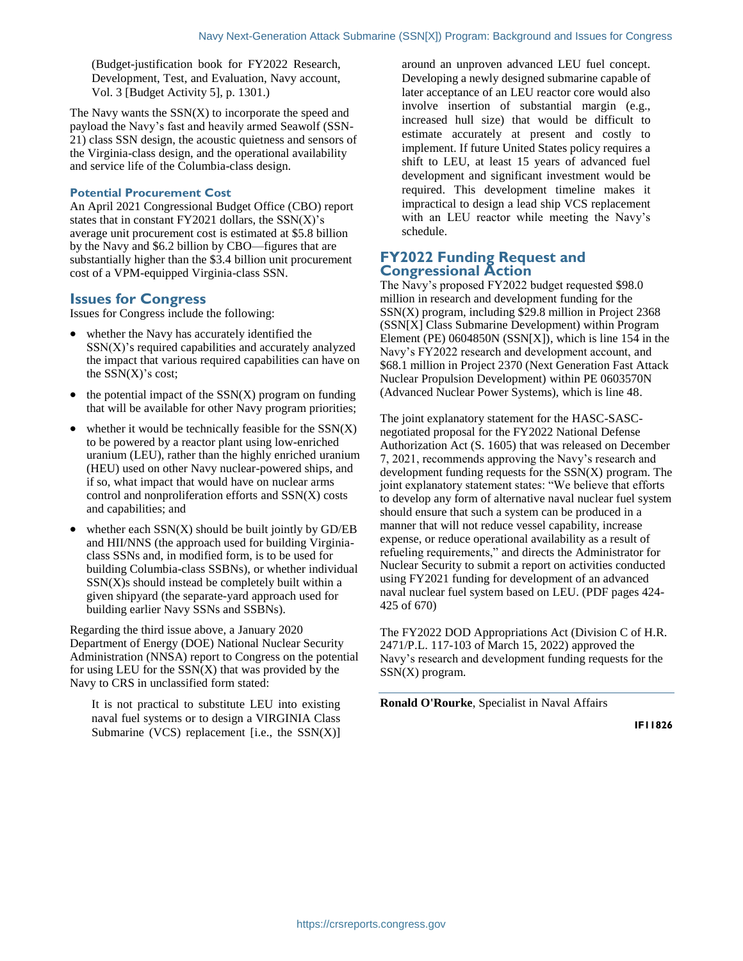(Budget-justification book for FY2022 Research, Development, Test, and Evaluation, Navy account, Vol. 3 [Budget Activity 5], p. 1301.)

The Navy wants the  $SSN(X)$  to incorporate the speed and payload the Navy's fast and heavily armed Seawolf (SSN-21) class SSN design, the acoustic quietness and sensors of the Virginia-class design, and the operational availability and service life of the Columbia-class design.

#### **Potential Procurement Cost**

An April 2021 Congressional Budget Office (CBO) report states that in constant  $FY2021$  dollars, the  $SSN(X)$ 's average unit procurement cost is estimated at \$5.8 billion by the Navy and \$6.2 billion by CBO—figures that are substantially higher than the \$3.4 billion unit procurement cost of a VPM-equipped Virginia-class SSN.

#### **Issues for Congress**

Issues for Congress include the following:

- whether the Navy has accurately identified the SSN(X)'s required capabilities and accurately analyzed the impact that various required capabilities can have on the  $SSN(X)$ 's cost;
- the potential impact of the  $SSN(X)$  program on funding that will be available for other Navy program priorities;
- $\bullet$  whether it would be technically feasible for the  $SSN(X)$ to be powered by a reactor plant using low-enriched uranium (LEU), rather than the highly enriched uranium (HEU) used on other Navy nuclear-powered ships, and if so, what impact that would have on nuclear arms control and nonproliferation efforts and SSN(X) costs and capabilities; and
- whether each  $SSN(X)$  should be built jointly by  $GD/EB$ and HII/NNS (the approach used for building Virginiaclass SSNs and, in modified form, is to be used for building Columbia-class SSBNs), or whether individual  $SSN(X)$ s should instead be completely built within a given shipyard (the separate-yard approach used for building earlier Navy SSNs and SSBNs).

Regarding the third issue above, a January 2020 Department of Energy (DOE) National Nuclear Security Administration (NNSA) report to Congress on the potential for using LEU for the  $SSN(X)$  that was provided by the Navy to CRS in unclassified form stated:

It is not practical to substitute LEU into existing naval fuel systems or to design a VIRGINIA Class Submarine (VCS) replacement [i.e., the  $SSN(X)$ ] around an unproven advanced LEU fuel concept. Developing a newly designed submarine capable of later acceptance of an LEU reactor core would also involve insertion of substantial margin (e.g., increased hull size) that would be difficult to estimate accurately at present and costly to implement. If future United States policy requires a shift to LEU, at least 15 years of advanced fuel development and significant investment would be required. This development timeline makes it impractical to design a lead ship VCS replacement with an LEU reactor while meeting the Navy's schedule.

#### **FY2022 Funding Request and Congressional Action**

The Navy's proposed FY2022 budget requested \$98.0 million in research and development funding for the SSN(X) program, including \$29.8 million in Project 2368 (SSN[X] Class Submarine Development) within Program Element (PE) 0604850N (SSN[X]), which is line 154 in the Navy's FY2022 research and development account, and \$68.1 million in Project 2370 (Next Generation Fast Attack Nuclear Propulsion Development) within PE 0603570N (Advanced Nuclear Power Systems), which is line 48.

The joint explanatory statement for the HASC-SASCnegotiated proposal for the FY2022 National Defense Authorization Act (S. 1605) that was released on December 7, 2021, recommends approving the Navy's research and development funding requests for the SSN(X) program. The joint explanatory statement states: "We believe that efforts to develop any form of alternative naval nuclear fuel system should ensure that such a system can be produced in a manner that will not reduce vessel capability, increase expense, or reduce operational availability as a result of refueling requirements," and directs the Administrator for Nuclear Security to submit a report on activities conducted using FY2021 funding for development of an advanced naval nuclear fuel system based on LEU. (PDF pages 424- 425 of 670)

The FY2022 DOD Appropriations Act (Division C of H.R. 2471/P.L. 117-103 of March 15, 2022) approved the Navy's research and development funding requests for the SSN(X) program.

**Ronald O'Rourke**, Specialist in Naval Affairs

**IF11826**